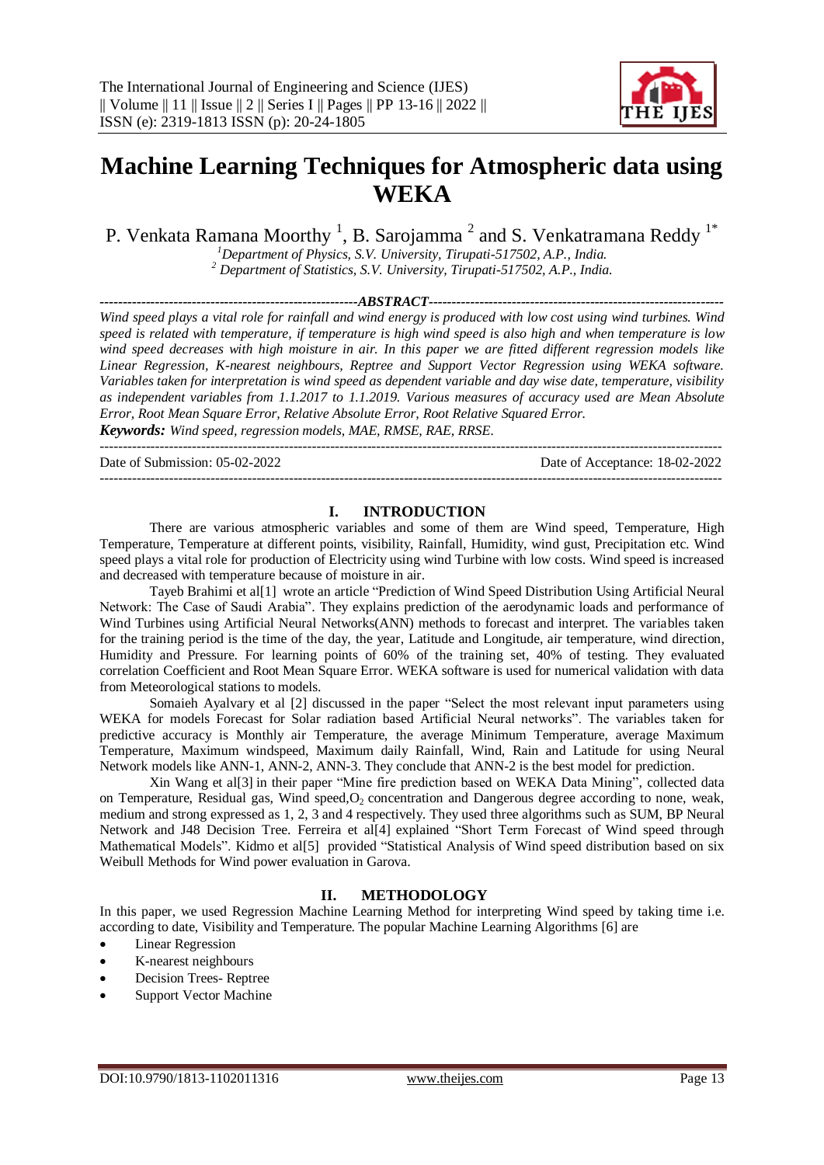

# **Machine Learning Techniques for Atmospheric data using WEKA**

P. Venkata Ramana Moorthy  $^1$ , B. Sarojamma  $^2$  and S. Venkatramana Reddy  $^{1*}$ 

*<sup>1</sup>Department of Physics, S.V. University, Tirupati-517502, A.P., India.*

*<sup>2</sup> Department of Statistics, S.V. University, Tirupati-517502, A.P., India.*

*--------------------------------------------------------ABSTRACT----------------------------------------------------------------*

*Wind speed plays a vital role for rainfall and wind energy is produced with low cost using wind turbines. Wind speed is related with temperature, if temperature is high wind speed is also high and when temperature is low wind speed decreases with high moisture in air. In this paper we are fitted different regression models like Linear Regression, K-nearest neighbours, Reptree and Support Vector Regression using WEKA software. Variables taken for interpretation is wind speed as dependent variable and day wise date, temperature, visibility as independent variables from 1.1.2017 to 1.1.2019. Various measures of accuracy used are Mean Absolute Error, Root Mean Square Error, Relative Absolute Error, Root Relative Squared Error.*

*Keywords: Wind speed, regression models, MAE, RMSE, RAE, RRSE.* ---------------------------------------------------------------------------------------------------------------------------------------

---------------------------------------------------------------------------------------------------------------------------------------

Date of Submission: 05-02-2022 Date of Acceptance: 18-02-2022

# **I. INTRODUCTION**

There are various atmospheric variables and some of them are Wind speed, Temperature, High Temperature, Temperature at different points, visibility, Rainfall, Humidity, wind gust, Precipitation etc. Wind speed plays a vital role for production of Electricity using wind Turbine with low costs. Wind speed is increased and decreased with temperature because of moisture in air.

Tayeb Brahimi et al[1] wrote an article "Prediction of Wind Speed Distribution Using Artificial Neural Network: The Case of Saudi Arabia". They explains prediction of the aerodynamic loads and performance of Wind Turbines using Artificial Neural Networks(ANN) methods to forecast and interpret. The variables taken for the training period is the time of the day, the year, Latitude and Longitude, air temperature, wind direction, Humidity and Pressure. For learning points of 60% of the training set, 40% of testing. They evaluated correlation Coefficient and Root Mean Square Error. WEKA software is used for numerical validation with data from Meteorological stations to models.

Somaieh Ayalvary et al [2] discussed in the paper "Select the most relevant input parameters using WEKA for models Forecast for Solar radiation based Artificial Neural networks". The variables taken for predictive accuracy is Monthly air Temperature, the average Minimum Temperature, average Maximum Temperature, Maximum windspeed, Maximum daily Rainfall, Wind, Rain and Latitude for using Neural Network models like ANN-1, ANN-2, ANN-3. They conclude that ANN-2 is the best model for prediction.

Xin Wang et al[3] in their paper "Mine fire prediction based on WEKA Data Mining", collected data on Temperature, Residual gas, Wind speed, O<sub>2</sub> concentration and Dangerous degree according to none, weak, medium and strong expressed as 1, 2, 3 and 4 respectively. They used three algorithms such as SUM, BP Neural Network and J48 Decision Tree. Ferreira et al<sup>[4]</sup> explained "Short Term Forecast of Wind speed through Mathematical Models". Kidmo et al[5] provided "Statistical Analysis of Wind speed distribution based on six Weibull Methods for Wind power evaluation in Garova.

# **II. METHODOLOGY**

In this paper, we used Regression Machine Learning Method for interpreting Wind speed by taking time i.e. according to date, Visibility and Temperature. The popular Machine Learning Algorithms [6] are

- Linear Regression
- K-nearest neighbours
- Decision Trees- Reptree
- Support Vector Machine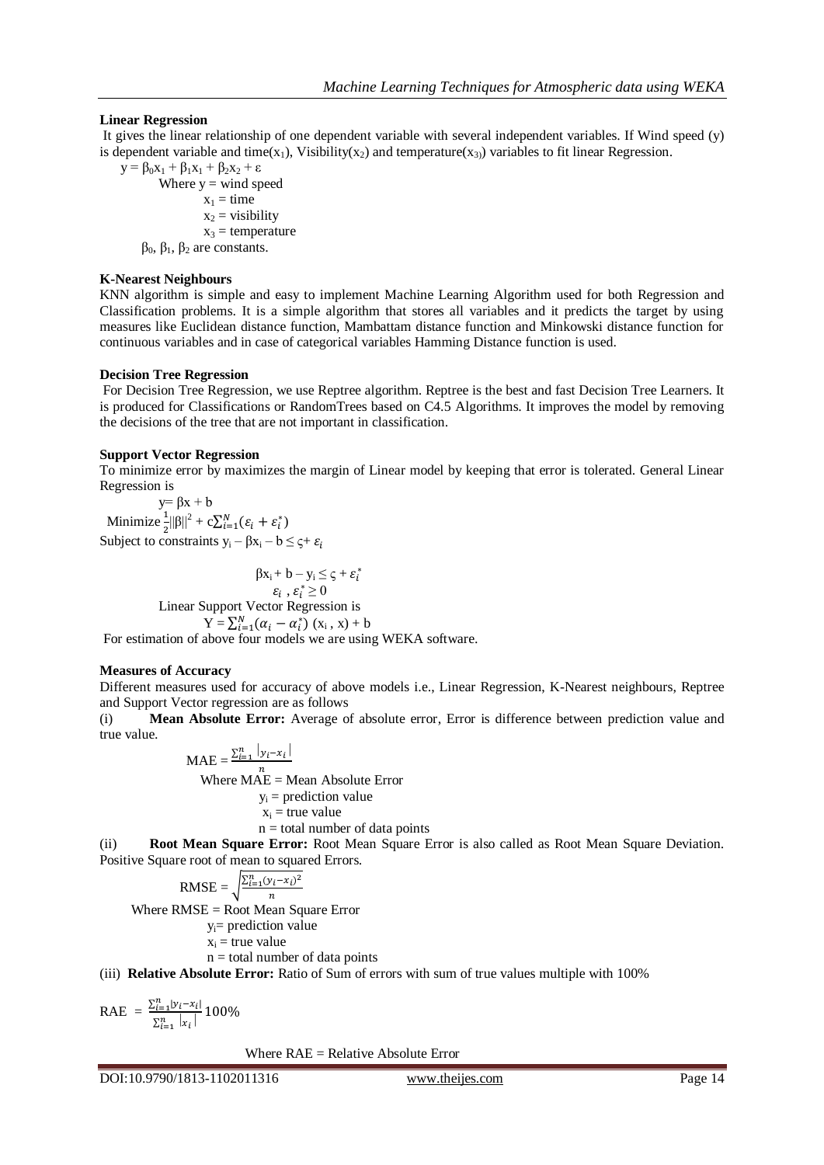### **Linear Regression**

It gives the linear relationship of one dependent variable with several independent variables. If Wind speed (y) is dependent variable and time(x<sub>1</sub>), Visibility(x<sub>2</sub>) and temperature(x<sub>3</sub>) variables to fit linear Regression.

 $y = \beta_0 x_1 + \beta_1 x_1 + \beta_2 x_2 + \varepsilon$ Where  $y =$  wind speed  $x_1 =$ time  $x_2$  = visibility  $x_3$  = temperature  $β_0$ ,  $β_1$ ,  $β_2$  are constants.

#### **K-Nearest Neighbours**

KNN algorithm is simple and easy to implement Machine Learning Algorithm used for both Regression and Classification problems. It is a simple algorithm that stores all variables and it predicts the target by using measures like Euclidean distance function, Mambattam distance function and Minkowski distance function for continuous variables and in case of categorical variables Hamming Distance function is used.

#### **Decision Tree Regression**

For Decision Tree Regression, we use Reptree algorithm. Reptree is the best and fast Decision Tree Learners. It is produced for Classifications or RandomTrees based on C4.5 Algorithms. It improves the model by removing the decisions of the tree that are not important in classification.

#### **Support Vector Regression**

To minimize error by maximizes the margin of Linear model by keeping that error is tolerated. General Linear Regression is

 $y = \beta x + b$ Minimize  $\frac{1}{2} ||\beta||^2 + c \sum_{i=1}^N (\varepsilon_i + \varepsilon_i^*)$ Subject to constraints  $y_i - \beta x_i - b \leq \varsigma + \varepsilon_i$ 

 $\beta x_i + b - y_i \leq \varsigma + \varepsilon_i^*$  $,\varepsilon_i^* \geq 0$  Linear Support Vector Regression is  $Y = \sum_{i=1}^{N} (\alpha_i - \alpha_i^*) (x_i, x) + b$ For estimation of above four models we are using WEKA software.

# **Measures of Accuracy**

Different measures used for accuracy of above models i.e., Linear Regression, K-Nearest neighbours, Reptree and Support Vector regression are as follows

(i) **Mean Absolute Error:** Average of absolute error, Error is difference between prediction value and true value.

$$
\text{MAE} = \frac{\sum_{i=1}^{n} |y_i - x_i|}{n}
$$
\nWhere MAE = Mean Absolute Error

\n
$$
y_i = \text{prediction value}
$$
\n
$$
x_i = \text{true value}
$$
\n
$$
n = \text{total number of data points}
$$
\n(ii) **Root Mean Square Error:** Root Mean Square F

(ii) **Root Mean Square Error:** Root Mean Square Error is also called as Root Mean Square Deviation. Positive Square root of mean to squared Errors.

RMSE = 
$$
\sqrt{\frac{\sum_{i=1}^{n} (y_i - x_i)^2}{n}}
$$
  
Where RMSE = Root Mean Square Error  
 $y_i$ = prediction value  
 $x_i$  = true value  
 $n$  = total number of data points  
(iii) **Relative Absolute Error:** Ratio of Sum of

(iii) **Relative Absolute Error:** Ratio of Sum of errors with sum of true values multiple with 100%

RAE = 
$$
\frac{\sum_{i=1}^{n} |y_i - x_i|}{\sum_{i=1}^{n} |x_i|} 100\%
$$

Where RAE = Relative Absolute Error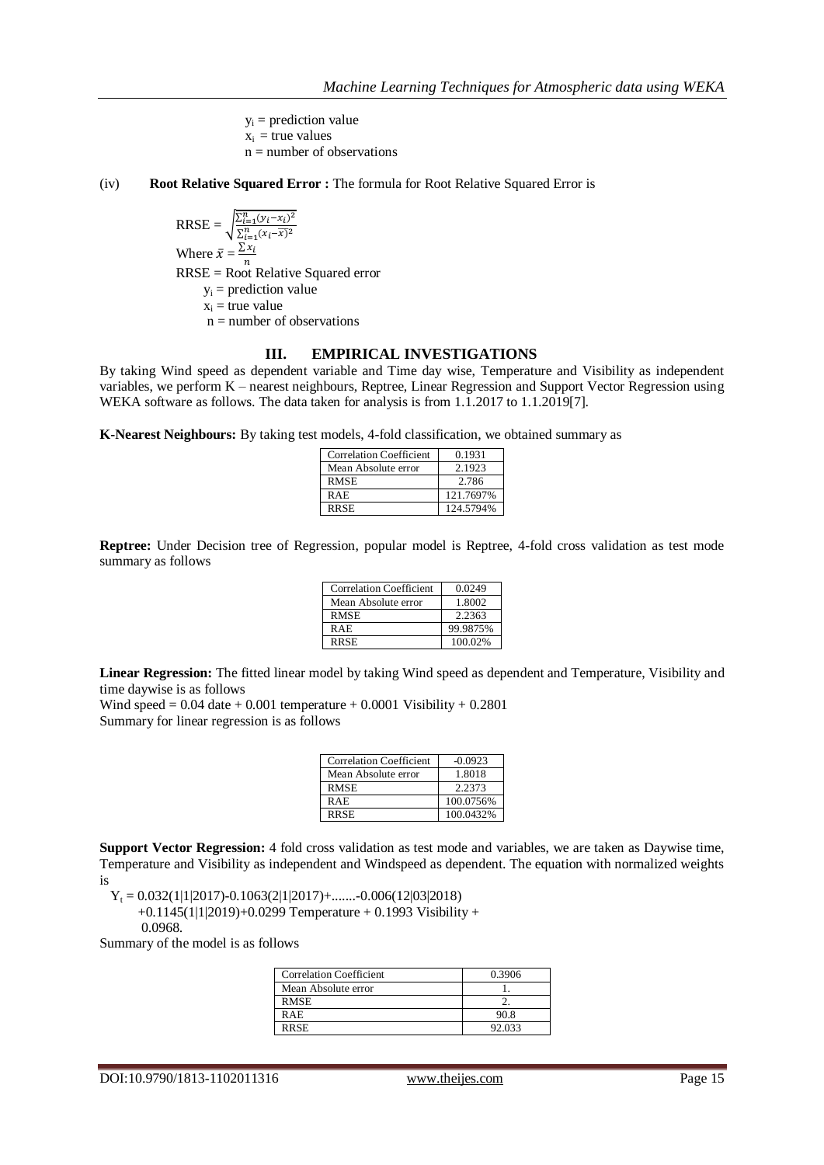$y_i$  = prediction value  $x_i$  = true values  $n =$  number of observations

#### (iv) **Root Relative Squared Error :** The formula for Root Relative Squared Error is

 $RRSE = \sqrt{\frac{\sum_{i=1}^{n}(y_i - x_i)}{\sum_{i=1}^{n}(x_i - \overline{x})}}$ Where  $\bar{x} = \frac{\Sigma}{\Sigma}$ n RRSE = Root Relative Squared error  $y_i$  = prediction value  $x_i$  = true value  $n =$  number of observations

#### **III. EMPIRICAL INVESTIGATIONS**

By taking Wind speed as dependent variable and Time day wise, Temperature and Visibility as independent variables, we perform K – nearest neighbours, Reptree, Linear Regression and Support Vector Regression using WEKA software as follows. The data taken for analysis is from 1.1.2017 to 1.1.2019[7].

**K-Nearest Neighbours:** By taking test models, 4-fold classification, we obtained summary as

| <b>Correlation Coefficient</b> | 0.1931    |
|--------------------------------|-----------|
| Mean Absolute error            | 2.1923    |
| <b>RMSE</b>                    | 2.786     |
| R A E                          | 121.7697% |
| <b>RRSE</b>                    | 124.5794% |

**Reptree:** Under Decision tree of Regression, popular model is Reptree, 4-fold cross validation as test mode summary as follows

| <b>Correlation Coefficient</b> | 0.0249   |
|--------------------------------|----------|
| Mean Absolute error            | 1.8002   |
| <b>RMSE</b>                    | 2.2363   |
| <b>RAE</b>                     | 99.9875% |
| <b>RRSE</b>                    | 100.02%  |

**Linear Regression:** The fitted linear model by taking Wind speed as dependent and Temperature, Visibility and time daywise is as follows

Wind speed  $= 0.04$  date  $+ 0.001$  temperature  $+ 0.0001$  Visibility  $+ 0.2801$ Summary for linear regression is as follows

| <b>Correlation Coefficient</b> | $-0.0923$ |
|--------------------------------|-----------|
| Mean Absolute error            | 1.8018    |
| <b>RMSE</b>                    | 2.2373    |
| R A E                          | 100.0756% |
| <b>RRSE</b>                    | 100.0432% |

**Support Vector Regression:** 4 fold cross validation as test mode and variables, we are taken as Daywise time, Temperature and Visibility as independent and Windspeed as dependent. The equation with normalized weights is

 $Y_t = 0.032(1|1|2017) - 0.1063(2|1|2017) + \dots$   $-0.006(12|03|2018)$ 

 $+0.1145(1|1|2019)+0.0299$  Temperature  $+0.1993$  Visibility  $+$ 

0.0968.

Summary of the model is as follows

| <b>Correlation Coefficient</b> | 0.3906 |
|--------------------------------|--------|
| Mean Absolute error            |        |
| <b>RMSE</b>                    |        |
| RAE                            | 90.8   |
| <b>RRSE</b>                    | 92.033 |

DOI:10.9790/1813-1102011316 www.theijes.com Page 15